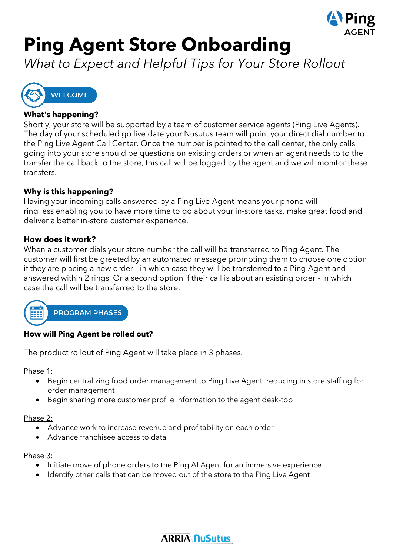

# **Ping Agent Store Onboarding**

*What to Expect and Helpful Tips for Your Store Rollout*



#### **What's happening?**

Shortly, your store will be supported by a team of customer service agents (Ping Live Agents). The day of your scheduled go live date your Nusutus team will point your direct dial number to the Ping Live Agent Call Center. Once the number is pointed to the call center, the only calls going into your store should be questions on existing orders or when an agent needs to to the transfer the call back to the store, this call will be logged by the agent and we will monitor these transfers.

#### **Why is this happening?**

Having your incoming calls answered by a Ping Live Agent means your phone will ring less enabling you to have more time to go about your in-store tasks, make great food and deliver a better in-store customer experience.

#### **How does it work?**

When a customer dials your store number the call will be transferred to Ping Agent. The customer will first be greeted by an automated message prompting them to choose one option if they are placing a new order - in which case they will be transferred to a Ping Agent and answered within 2 rings. Or a second option if their call is about an existing order - in which case the call will be transferred to the store.



#### **How will Ping Agent be rolled out?**

The product rollout of Ping Agent will take place in 3 phases.

Phase 1:

- Begin centralizing food order management to Ping Live Agent, reducing in store staffing for order management
- Begin sharing more customer profile information to the agent desk-top

#### Phase 2:

- Advance work to increase revenue and profitability on each order
- Advance franchisee access to data

#### Phase 3:

- Initiate move of phone orders to the Ping AI Agent for an immersive experience
- Identify other calls that can be moved out of the store to the Ping Live Agent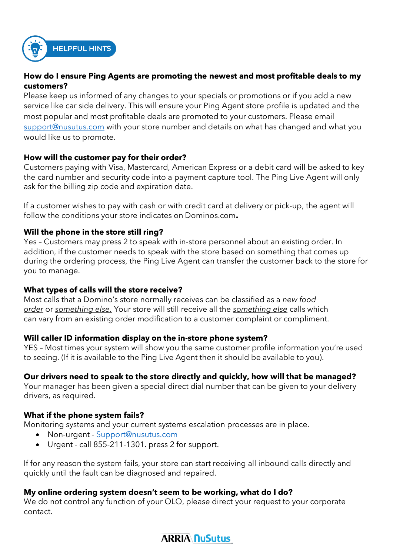

### **HELPFUL HINTS**

#### **How do I ensure Ping Agents are promoting the newest and most profitable deals to my customers?**

Please keep us informed of any changes to your specials or promotions or if you add a new service like car side delivery. This will ensure your Ping Agent store profile is updated and the most popular and most profitable deals are promoted to your customers. Please email [support@nusutus.com](mailto:support@nusutus.com) with your store number and details on what has changed and what you would like us to promote.

#### **How will the customer pay for their order?**

Customers paying with Visa, Mastercard, American Express or a debit card will be asked to key the card number and security code into a payment capture tool. The Ping Live Agent will only ask for the billing zip code and expiration date.

If a customer wishes to pay with cash or with credit card at delivery or pick-up, the agent will follow the conditions your store indicates on Dominos.com**.** 

#### **Will the phone in the store still ring?**

Yes – Customers may press 2 to speak with in-store personnel about an existing order. In addition, if the customer needs to speak with the store based on something that comes up during the ordering process, the Ping Live Agent can transfer the customer back to the store for you to manage.

#### **What types of calls will the store receive?**

Most calls that a Domino's store normally receives can be classified as a *new food order* or *something else.* Your store will still receive all the *something else* calls which can vary from an existing order modification to a customer complaint or compliment.

#### **Will caller ID information display on the in-store phone system?**

YES – Most times your system will show you the same customer profile information you're used to seeing. (If it is available to the Ping Live Agent then it should be available to you).

#### **Our drivers need to speak to the store directly and quickly, how will that be managed?**

Your manager has been given a special direct dial number that can be given to your delivery drivers, as required.

#### **What if the phone system fails?**

Monitoring systems and your current systems escalation processes are in place.

- Non-urgent [Support@nusutus.com](mailto:Support@nusutus.com)
- Urgent call 855-211-1301. press 2 for support.

If for any reason the system fails, your store can start receiving all inbound calls directly and quickly until the fault can be diagnosed and repaired.

#### **My online ordering system doesn't seem to be working, what do I do?**

We do not control any function of your OLO, please direct your request to your corporate contact.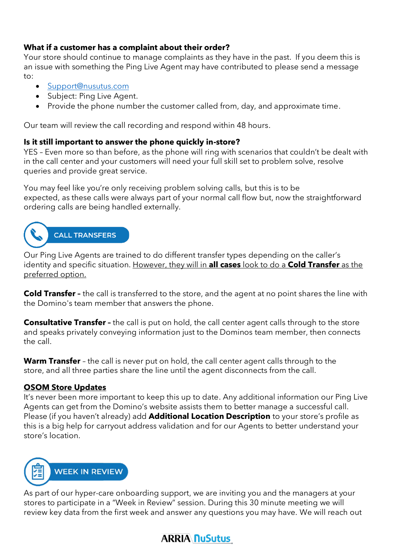#### **What if a customer has a complaint about their order?**

Your store should continue to manage complaints as they have in the past. If you deem this is an issue with something the Ping Live Agent may have contributed to please send a message to:

- [Support@nusutus.com](mailto:Support@nusutus.com)
- Subject: Ping Live Agent.
- Provide the phone number the customer called from, day, and approximate time.

Our team will review the call recording and respond within 48 hours.

#### **Is it still important to answer the phone quickly in-store?**

YES – Even more so than before, as the phone will ring with scenarios that couldn't be dealt with in the call center and your customers will need your full skill set to problem solve, resolve queries and provide great service.

You may feel like you're only receiving problem solving calls, but this is to be expected, as these calls were always part of your normal call flow but, now the straightforward ordering calls are being handled externally.

## **CALL TRANSFERS**

Our Ping Live Agents are trained to do different transfer types depending on the caller's identity and specific situation. However, they will in **all cases** look to do a **Cold Transfer** as the preferred option.

**Cold Transfer –** the call is transferred to the store, and the agent at no point shares the line with the Domino's team member that answers the phone.

**Consultative Transfer** - the call is put on hold, the call center agent calls through to the store and speaks privately conveying information just to the Dominos team member, then connects the call.

**Warm Transfer** – the call is never put on hold, the call center agent calls through to the store, and all three parties share the line until the agent disconnects from the call.

#### **OSOM Store Updates**

It's never been more important to keep this up to date. Any additional information our Ping Live Agents can get from the Domino's website assists them to better manage a successful call. Please (if you haven't already) add **Additional Location Description** to your store's profile as this is a big help for carryout address validation and for our Agents to better understand your store's location.



As part of our hyper-care onboarding support, we are inviting you and the managers at your stores to participate in a "Week in Review" session. During this 30 minute meeting we will review key data from the first week and answer any questions you may have. We will reach out